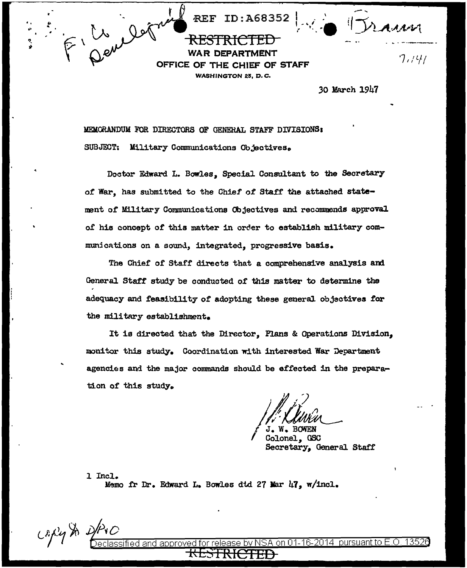

DEPARTMENT **OFFICE OF** THE CHIEF OF STAFF **WASHINGTON 25, D.C.** 

**REF ID: A68352** 

 $7,741$ 

30 March 1947

MEMORANDUM FOR DIRECTORS OF GENERAL STAFF DIVISIONS: SUBJECT: Military Communications Objectives.

Doctor Edward L. Bowles, Special Consultant to the Secretary of War, has submitted to the Chief of Staff the attached statement of Military Communications Objectives and recommends approval of his concept of this matter in order to establish military communications on a sound, integrated, progressive basis.

The Chief of Staff directs that a comprehensive analysis and General Staff study be conducted of this matter to determine the adequacy and feasibility of adopting these general objectives for the military establishment.

It is directed that the Director, Plans & Operations Division, monitor this study. Coordination with interested War Department agencies and the major commands should be effected in the preparation of this study.

GSC Secretary, General Staff

1 Incl. Memo fr Dr. Edward L. Bowles dtd 27 Mar 47, w/incl.

Capy St

 $b$ v NSA on 01-16-2014  $\,$  pursuant to E.O. approved fied and.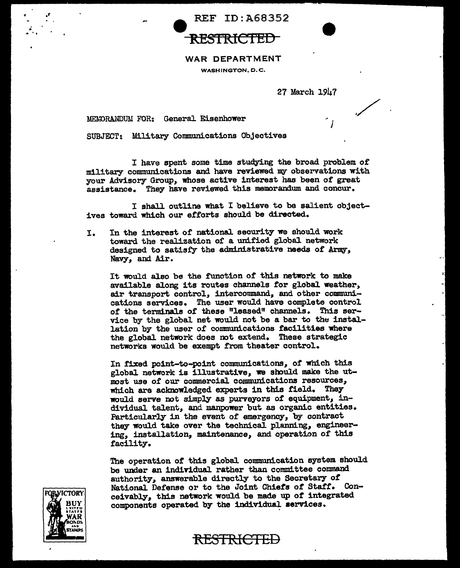



./.

## WAR DEPARTMENT

WASHINGTON, D.C.

27 March 1947

MEMORANDUM FOR: General Eisenhower

SUBJECT: Military Communications Objectives

I have spent some time studying the broad problem of military communications and have reviewed my observations with your Advisory Group, whose active interest has been of great assistance. They have reviewed this memorandum and concur.

I shall outline what I believe to be salient objectives toward which our efforts should be directed.

I. In the interest of national security we should work toward the realization of a unified global network designed to satisfy the administrative needs of Army, Navy, and Air.

It would also be the function of this network to make available along its routes channels tor global weather, air transport control, intercommand, and other communications services. The user would have complete control of the terminals of these "leased" channels. This service by the global net would not be a bar to the installation by the user of communications facilities where the global network does not extend. These strategic networks would be exempt from theater control.

In fixed point-to-point communications, of which this global network is illustrative, we should make the utmost use of our commercial communications resources, which are aclmowledged experts in this field. They would serve not simply as purveyors of equipment, individual talent, and manpower but as organic entities. Particularly in the event of emergency, by contract they would take over the technical planning, engineering, installation, maintenance, and operation of this facility.

The operation *ot* this global communication system should be under an individual rather than committee command authority, answerable directly to the Secretary of National Defense or to the Joint Chiefs of Staff. Conceivably, this network would be made up *ot* integrated components operated by the individual services.



,;

RESTRICTED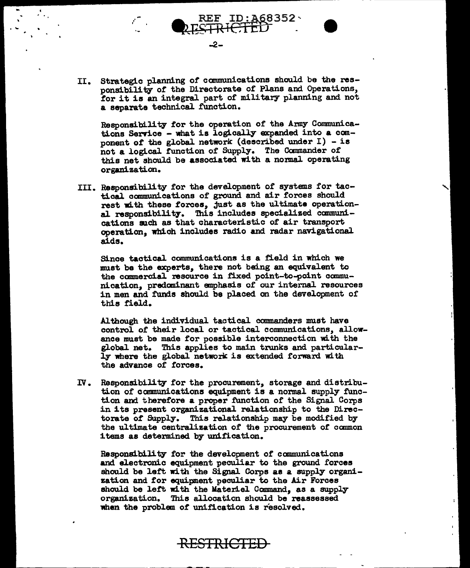II. Strategic planning of cannnmications should be the responsibility *ot* the Directorate or Plans and Operations, for it is an integral part of military planning and not a separate technical function.

-2-

 $\therefore$   $\qquad$   $\qquad$   $\qquad$   $\qquad$   $\qquad$   $\qquad$   $\qquad$   $\qquad$   $\qquad$   $\qquad$   $\qquad$   $\qquad$   $\qquad$   $\qquad$   $\qquad$   $\qquad$   $\qquad$   $\qquad$   $\qquad$   $\qquad$   $\qquad$   $\qquad$   $\qquad$   $\qquad$   $\qquad$   $\qquad$   $\qquad$   $\qquad$   $\qquad$   $\qquad$   $\qquad$   $\qquad$   $\qquad$   $\qquad$   $\qquad$   $\qquad$ 

 $\overline{\cdot}$  .

Responsibility for the operation or the Army Communications Service - what is logically expanded into a component of the global network (described under  $I$ ) - is not a logical function of Supply. The Commander of this net should be associated with a normal operating org&IJization.

III. Responsibility for the development of systems for tactical canmunications or ground and air forces should rest with these forces, just as the ultimate operational responsibility. This includes specialized communications such as that characteristic of air transport operation, which includes radio and radar navigational aids.

Since tactical communications is a field in which we must be the experts, there not being an equivalent to the commercial resource in fixed point-to-point communication, predaninant emphasis of our internal resources in men and funds should be placed on the development of this field.

Al though the individual tactical commanders must have control of their local or tactical comnunications, allowance must be made for possible interconnection with the global net. This applies to main trunks and particularly where the global network is extended forward with the advance of forces.

IV. Responsibility for the procurement, storage and distribution of communications equipment is a normal supply function and therefore a proper function or the Signal Corps in its present organizational relationship to the Directorate of Supply-. This relationship may be modified bythe ultimate centralization of the procurement or canmon items as determined by unification.

Responsibility for the development of communications and electronic equipment peculiar to the ground forces should be left with the Signal Corps as a supply organization and for equipment peculiar to the Air Forces should be left with the Materiel Command, as a supply organization. This allocation should be reasaessed when the problem of unification is resolved.

RESTRICTED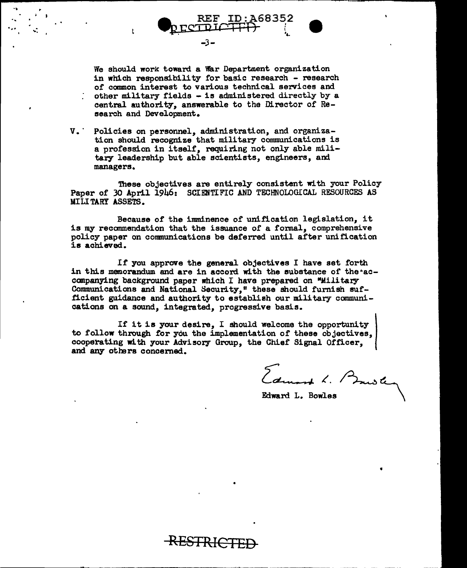We should work toward a War Department organization in which responsibility for basic research - research of common interest to various technical services and other military fields - is administered directly by a central authority, answerable to the Director of Research and Development.

-3-

 $\mathbf{t}$ 

 $V_{\bullet}$ Policies on personnel, administration, and organization should recognize that military communications is a profession in itself, requiring not only able military leadership but able scientists, engineers, and managers.

These objectives are entirely consistent with your Policy Paper of 30 April 1946: SCIENTIFIC AND TECHNOLOGICAL RESOURCES AS MILITARY ASSETS.

Because of the imminence of unification legislation, it is my recommendation that the issuance of a formal, comprehensive policy paper on communications be deferred until after unification is achieved.

If you approve the general objectives I have set forth in this memorandum and are in accord with the substance of the accompanying background paper which I have prepared on "Military Communications and National Security," these should furnish sufficient guidance and authority to establish our military communications on a sound, integrated, progressive basis.

If it is your desire, I should welcome the opportunity to follow through for you the implementation of these objectives, cooperating with your Advisory Group, the Chief Signal Officer, and any others concerned.

Edward L. B

Edward L. Bowles

**RESTRICTED**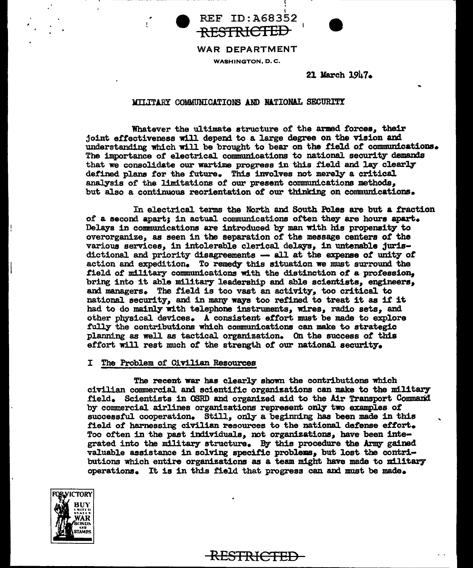



# WAR DEPARTMENT **WASHINGTON, D.C.**

**REF ID: A68352** 

21 March 1947.

## MILITARY COMMUNICATIONS AND NATIONAL SECURITY

Whatever the ultimate structure of the armed forces, their joint effectiveness will depend to a large degree on the vision and understanding which will be brought to bear on the field of communications. The importance of electrical communications to national security demands that we consolidate our wartime progress in this field and lay clearly defined plans for the future. This involves not merely a critical analysis of the limitations of our present communications methods, but also a continuous reorientation of our thinking on communications.

In electrical terms the North and South Poles are but a fraction of a second apart; in actual communications often they are hours apart. Delays in communications are introduced by man with his propensity to overorganize, as seen in the separation of the message centers of the various services, in intolerable clerical delays, in untenable jurisdictional and priority disagreements -- all at the expense of unity of action and expedition. To remedy this situation we must surround the field of military communications with the distinction of a profession, bring into it able military leadership and able scientists. engineers, and managers. The field is too vast an activity, too critical to national security, and in many ways too refined to treat it as if it had to do mainly with telephone instruments, wires, radio sets, and other physical devices. A consistent effort must be made to explore fully the contributions which communications can make to strategic planning as well as tactical organization. On the success of this effort will rest much of the strength of our national security.

### I The Problem of Civilian Resources

The recent war has clearly shown the contributions which civilian commercial and scientific organizations can make to the military field. Scientists in OSRD and organized aid to the Air Transport Command by commercial airlines organizations represent only two examples of successful cooperation. Still, only a beginning has been made in this field of harnessing civilian resources to the national defense effort. Too often in the past individuals, not organizations, have been integrated into the military structure. By this procedure the Army gained valuable assistance in solving specific problems, but lost the contributions which entire organizations as a team might have made to military operations. It is in this field that progress can and must be made.

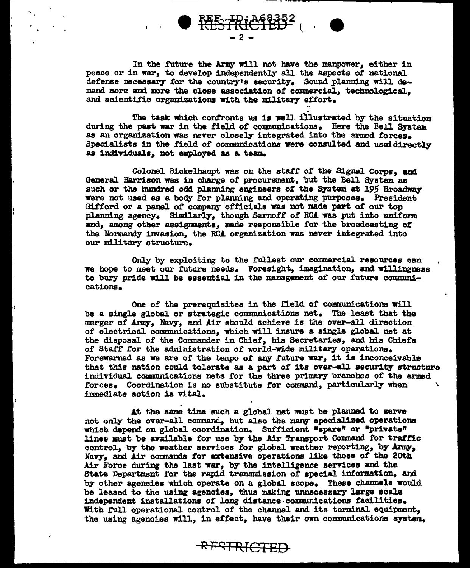

In the future the Army will not have the manpower, either in peace or in war, to develop independently all the aspects of national defense necessary for the country's security. Sound planning will demand more and more the close association of commercial. technological. and scientific organizations with the military effort.

The task which confronts us is well illustrated by the situation during the past war in the field of communications. Here the Bell System as an organization was never closely integrated into the armed forces. Specialists in the field of communications were consulted and used directly as individuals, not employed as a team.

Colonel Bickelhaupt was on the staff of the Signal Corps, and General Harrison was in charge of procurement, but the Bell System as such or the hundred odd planning engineers of the System at 195 Broadway were not used as a body for planning and operating purposes. President Gifford or a panel of company officials was not made part of our top planning agency. Similarly, though Sarnoff of RCA was put into uniform and, among other assignments, made responsible for the broadcasting of the Normandy invasion, the RCA organization was never integrated into our military structure.

Only by exploiting to the fullest our commercial resources can we hope to meet our future needs. Foresight, imagination, and willingness to bury pride will be essential in the management of our future communications.

One of the prerequisites in the field of communications will be a single global or strategic communications net. The least that the merger of Army, Navy, and Air should achieve is the over-all direction of electrical communications, which will insure a single global net at the disposal of the Commander in Chief, his Secretaries, and his Chiefs of Staff for the administration of world-wide military operations. Forewarned as we are of the tempo of any future war, it is inconceivable that this nation could tolerate as a part of its over-all security structure individual communications nets for the three primary branches of the armed forces. Coordination is no substitute for command, particularly when immediate action is vital.

At the same time such a global net must be planned to serve not only the over-all command, but also the many specialized operations which depend on global coordination. Sufficient "spare" or "private" lines must be available for use by the Air Transport Command for traffic control, by the weather services for global weather reporting, by Army, Navy, and Air commands for extensive operations like those of the 20th Air Force during the last war, by the intelligence services and the State Department for the rapid transmission of special information, and by other agencies which operate on a global scope. These channels would be leased to the using agencies, thus making unnecessary large scale independent installations of long distance communications facilities. With full operational control of the channel and its terminal equipment, the using agencies will, in effect, have their own communications system.

**RESTRICTED**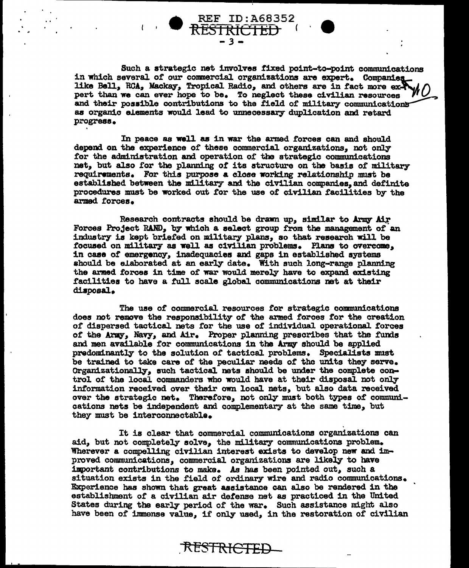

Such a strategic net involves fixed point-to-point communications in which several of our commercial organizations are expert. Companies like Bell, RCA, Mackay, Tropical Radio, and others are in fact more expert than we can ever hope to be. To neglect these civilian resources and their possible contributions to the field of military communications as organic elements would lead to unnecessary duplication and retard progress.

REF ID:A68352

In peace as well as in war the armed forces can and should depend on the experience of these commercial organizations, not only for the administration and operation of the strategic communications net, but also for the planning of its structure on the basis of military requirements. For this purpose a close working relationship must be established between the military and the civilian companies, and definite procedures must be worked out for the use of civilian facilities by the armed forces.

Research contracts should be drawn up. similar to Army Air Forces Project RAND, by which a select group from the management of an industry is kept briefed on military plans, so that research will be focused on military as well as civilian problems. Plans to overcome, in case of emergency, inadequacies and gaps in established systems should be elaborated at an early date. With such long-range planning the armed forces in time of war would merely have to expand existing facilities to have a full scale global communications net at their disposal.

The use of commercial resources for strategic communications does not remove the responsibility of the armed forces for the creation of dispersed tactical nets for the use of individual operational forces of the Army, Navy, and Air. Proper planning prescribes that the funds and men available for communications in the Army should be applied predominantly to the solution of tactical problems. Specialists must be trained to take care of the peculiar needs of the units they serve. Organizationally, such tactical nets should be under the complete control of the local commanders who would have at their disposal not only information received over their own local nets, but also data received over the strategic net. Therefore, not only must both types of communications nets be independent and complementary at the same time, but they must be interconnectable.

It is clear that commercial communications organizations can aid, but not completely solve, the military communications problem. Wherever a compelling civilian interest exists to develop new and improved communications, commercial organizations are likely to have important contributions to make. As has been pointed out, such a situation exists in the field of ordinary wire and radio communications. Experience has shown that great assistance can also be rendered in the establishment of a civilian air defense net as practiced in the United States during the early period of the war. Such assistance might also have been of immense value, if only used, in the restoration of civilian

RESTRICTED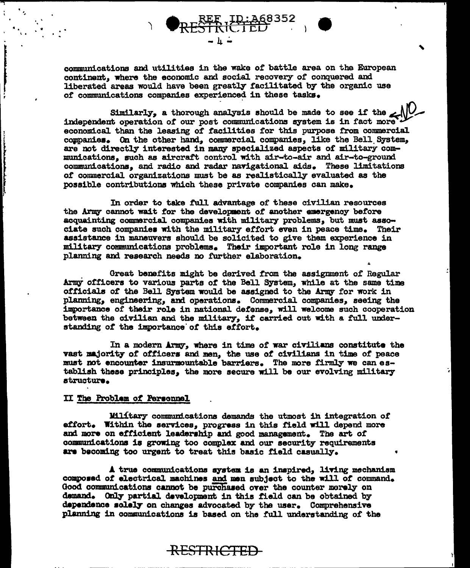communications and utilities in the wake of battle area on the European continent, where the economic and social recovery of conquered and liberated areas would have been greatly facilitated by the organic use of communications companies experienced in these tasks.

E ID: 368352<br>RICTED

Similarly, a thorough analysis should be made to see if the independent operation of our post communications system is in fact more economical than the leasing of facilities for this purpose from commercial companies. On the other hand, commercial companies, like the Bell System, are not directly interested in many specialized aspects of military communications, such as aircraft control with air-to-air and air-to-ground communications, and radio and radar navigational aids. These limitations of commercial organizations must be as realistically evaluated as the possible contributions which these private companies can make.

In order to take full advantage of these civilian resources the Army cannot wait for the development of another emergency before acquainting commercial companies with military problems, but must associate such companies with the military effort even in peace time. Their assistance in maneuvers should be solicited to give them experience in military communications problems. Their important role in long range planning and research needs no further elaboration.

Great benefits might be derived from the assignment of Regular Army officers to various parts of the Bell System, while at the same time officials of the Bell System would be assigned to the Army for work in planning, engineering, and operations. Commercial companies, seeing the importance of their role in national defense, will welcome such cooperation between the civilian and the military, if carried out with a full understanding of the importance of this effort.

In a modern Army, where in time of war civilians constitute the vast majority of officers and men, the use of civilians in time of peace must not encounter insurmountable barriers. The more firmly we can establish these principles, the more secure will be our evolving military structure.

#### II The Problem of Personnel

Military communications demands the utmost in integration of effort. Within the services, progress in this field will depend more and more on efficient leadership and good management. The art of communications is growing too complex and our security requirements are becoming too urgent to treat this basic field casually.

A true communications system is an inspired, living mechanism composed of electrical machines and men subject to the will of command. Good communications cannot be purchased over the counter merely on demand. Only partial development in this field can be obtained by dependence solely on changes advocated by the user. Comprehensive planning in communications is based on the full understanding of the

**RESTRICTED**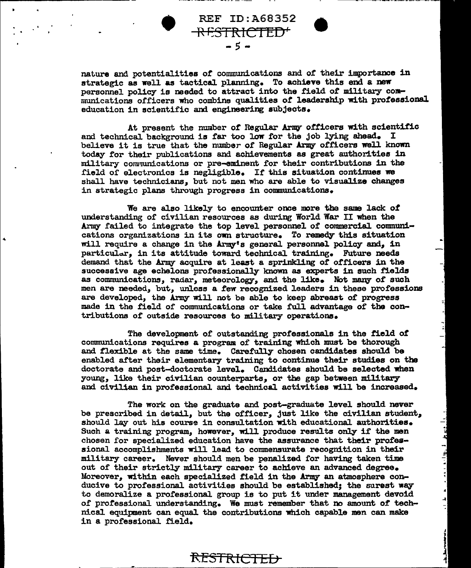nature and potentialities of communications and of their importance in strategic as well as tactical planning. To achieve this end a new personnel policy is needed to attract into the field *ot* military coanmnications officers who combine qualities *ot* leadership with professional education in scientific and engineering subjects.

**• REF ID:A68352**<br>REF ID:A68352<br>-5 •

RESTRICTED'

At present the number of Regular Army officers with scientific and technical background is far too low for the job lying ahead. I believe it is true that the number of Regular Army officers well known today tor their publications and achievements as great authorities in military communications or pre-eminent for their contributions in the field of electronics is negligible. If this situation continues we shall have technicians, but not men who are able to visualize changes in strategic plans through progress in communications.

We are also likely to encounter once more the same lack of understanding of civilian resources as during World War II when the Army failed to integrate the top level personnel of commercial. communications organizations in its own structure. To remedy this situation will require a change in the Army's general personnel policy and, in particular, in its attitude toward technical training. Future needs demand that the Army acquire at least a sprinkling of officers in the successive age echelons professionally known as experts in such fields as communications, radar, meteorology, and the like. Not many of such men are needed, but, unless a few recognized leaders in these professions are developed, the Army will not be able to keep abreast of progress made in the field of communications or take full advantage of the contributions of outside resources to military operations.

The development of outstanding professionals in the field ot communications requires a program of training which must be thorough and flexible at the same time. Carefully chosen candidates should be enabled after their elementary training to continue their studies on the doctorate and post-doctorate level. Candidates should be selected when young, like their civilian counterparts,, or the gap between military' and ciVilian in professional and technical activities will be increased.

The work on the graduate and post-graduate level should never be prescribed in detail, but the officer, just like the civilian student, should lay out his course in consultation with educational authorities. Such a training program, however, will produce results only if the men chosen for specialized education have the assurance that their profess ional accomplishments will lead to commensurate recognition in their military career. Never should men be penalized for having taken time out of their strictly military career to achieve an advanced degree. Moreover, within each specialized £ield in the *Ariq* an atmosphere conducive to professional activities should be established; the surest way to demoralize a proressional group is to put it under management devoid *or* protessional understanding. We must remember that no amount *or* technical equipment can equal the contributions which capable man can make in a professional field.

الرووانية بندم

اما<br>اب

RESTRI<del>CTED</del>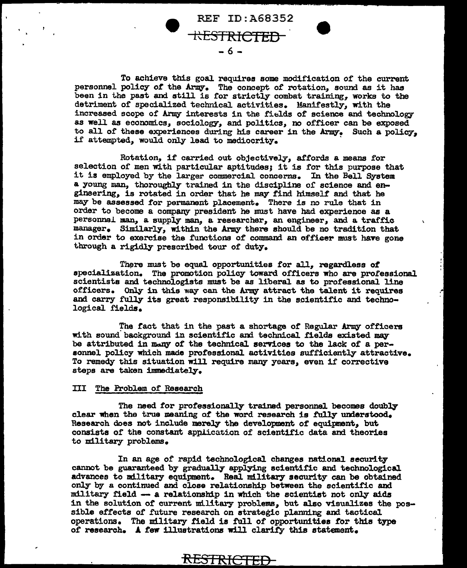REF ID:A68352 KESTRICTED -6-

To achieve this goal requires some modification or the current personnel policy or the Army. The concept or rotation, sound as it has been in the past and still is for strictly combat training, works to the detriment of specialized technical activities. Manifestly, with the increased scope of Army interests in the fields of science and technology as well as economics, sociology, and politics, no officer can be exposed to all of these experiences during his career in the Army. Such a policy, if attempted, would only lead to mediocrity.

Rotation, if carried out objectively, affords a means for selection of men with particular aptitudes; it is for this purpose that it is employed by the larger commercial concerns. In the Bell System a young man, thoroughly trained in the discipline of science and engineering, is rotated in order that he may find himself and that he may be assessed for permanent placement. There is no rule that in order to become a company president he must have had experience as a personnel man, a supply man, a researcher, an engineer, and a traffic manager. Similarly, within the Army there should be no tradition that in order to exercise the functions of command an officer must have gone through a rigidly prescribed tour or duty.

There must be equal opportunities for all, regardless of<br>specialization. The promotion policy toward officers who are professional scientists and technologists must be as liberal as to professional line officers. Only in this way can the Army attract the talent it requires and carry fully its great responsibility in the scientific and technological fields.

The fact that in the past a shortage of Regular Army officers with sound background in scientific and technical fields existed may be attributed in many of the technical services to the lack of a personnel policy which made professional activities sufficiently attractive. To remedy this situation will require many years, even if corrective steps are taken immediately.

#### III The Problem of Research

The need for professionally trained personnel becomes doubly clear when the true meaning of the word research is fully understood. Research does not include merely the development of equipment, but consists of the constant application of scientific data and theories to military problems.

In an age of rapid technological changes national security cannot be guaranteed by gradually applying scientific and technological advances to military equipment. Real military security can be obtained only by a continued and close relationship between the scientific and military field  $-$  a relationship in which the scientist not only aids in the solution of current military problems, but also visualizes the possible effects of future research on strategic planning and tactical operations. The military field is full of opportunities for this type of research. A few illustrations will clarify this statement.

**RESTRICTED**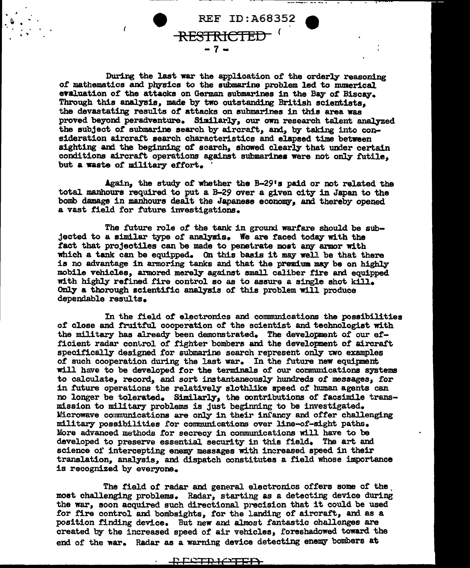

During the last war the application of the orderly reasoning of mathematics and physics to the submarine problem led to numerical evaluation of the attacks on German submarines in the Bay of Biscay. Through this analysis, made by two outstanding British scientists, the devastating results *ot* attacks on submarines in this area was proved beyond peradventure. Similarly, our own research talent analyzed the subject of submarine search by aircraft, and, by taking into consideration aircraft search characteristics and elapsed time between sighting and the beginning of scarch, showed clearly that under certain conditions aircraft operations against submarines were not only futile, but a waste of military effort.

Again, the study of whether the  $B-29$ 's paid or not related the total manhoura required to put a B-29 over a given city in Japan to the bomb damage in manhours dealt the Japanese economy, and thereby opened a vast field for future investigations.

The future role *ot* the tank in ground warfare should be subjected to a similar type of analysis. We are faced today with the fact that projectiles can be made to penetrate most any armor with which a tank can be equipped. On this basis it may well be that there is no advantage in armoring tanks and that the premium may be on highly mobile vehicles, armored merely against small caliber fire and equipped with highly refined fire control so as to assure a single shot kill. Only a thorough scientific analysis of this problem will produce dependable results.

In the field of electronics and communications the possibilities of close and fruitful cooperation of the scientist and technologist with the military has already been demonstrated. The development of our efficient radar control of fighter bomber8 and the development *ot* aircraft. specifically designed for submarine search represent only two examples of such cooperation during the last war. In the future new equipment will have to be developed for the terminals of our communications systems to calculate, record, and sort instantaneously hundreds of messages, for in future operations the relatively slothlike speed of human agents can no longer be tolerated. Similarly, the contributions of facsimile transmission to military problems is just beginning to be investigated. Microwave communications are only in their infancy and offer challenging military possibilities ror communications over line-of-sight paths. More advanced methods for secrecy in communications will have to be developed to preserve essential security in this field. The art and science of intercepting enemy messages with increased speed in their translation, analysis, and dispatch constitutes a field whose importance is recognized by everyone.

The field of radar and general electronics offers some of the, most challenging problems. Radar, starting as a detecting device during the war, soon acquired such directional precision that it could be used for fire control and bombsights, tor the landing of aircraft, and as a position finding device. But new and almost fantastic challenges are created by the increased speed of air vehicles, foreshadowed toward the end of the war. Radar as a warning device detecting enemy bombers at

> ., **COTRICITED**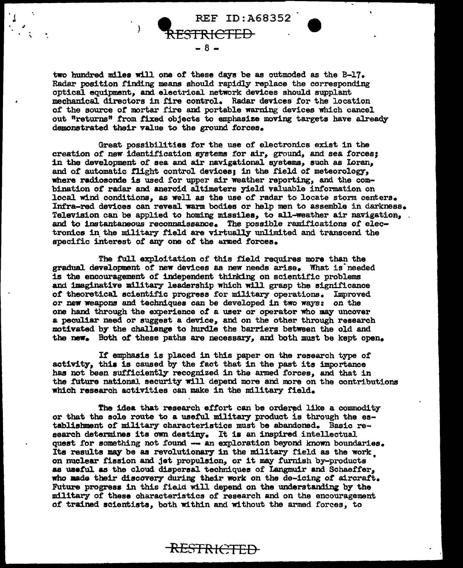REF ID:A68352 RESTRICTED  $- 8 -$ 

.

 $\mathcal{L} \left( \mathcal{L} \right)$  , and the set of  $\mathcal{L} \left( \mathcal{L} \right)$ 

two hundred miles will one of these days be as outmoded as the  $B-17$ . Radar position finding means should rapidly replace the corresponding optica1 equipment, and electrical network devices should supplant mechanical. directors in fire control. Radar devices for the location of the source or mortar fire and portable warning devices which cancel out "returns" from fixed objects to emphasize moving targets have already demonstrated their value to the ground forces.

Great possibilities tor the use of electronics exist in the creation of new identification systems for air, ground, and sea forces; in the development of sea and air navigational systems, such as Ioran, and of automatic flight control devices; in the field of meteorology, where radiosonde is used for upper air weather reporting, and the combination of radar and aneroid altimeters yield valuable information on local wind conditions, as well as the use of radar to locate storm centers. Infra-red devices can revea1 warm. bodies or help men to assemble in darkness. Television can be applied to homing missiles, to all-weather air navigation, and to instantaneous reconnaissance. The possible ramifications of electronics in the military field are virtually unlimited and transcend the specific interest of any one of the armed forces.

The full exploitation of this field requires more than the gradual development of new devices as new needs arise. What is needed is the encouragement of independent thinking on scientific problems and imaginative military leadership which will grasp the significance of theoretical scientific progress for military operations. Improved or new weapons and techniques can be developed in two ways: on the one hand through the experience of a user or operator who may uncover a peculiar need or suggest a device, and on the other through research motivated by the challenge to hurdle the barriers between the old and the new. Both of these paths are necessary, and both must be kept open.

If emphasis is placed in this paper on the research type or activity, this is caused by the fact that in the past its importance has not been sufficiently recognized in the armed forces, and that in the future national security will depend more and more on the contributions which research activities can make in the military field.

The idea that research effort can be ordered like a commodity or that the sole route to a useful military product is through the establishment of military characteristics must be abandoned. Basic research determines its own destiny. It is an inspired intellectual quest for something not found -- an exploration beyond known boundaries. Its results may be as revolutionary in the military field as the work on nuclear fission and jet propulsion, or it may furnish by-products as useful as the cloud dispersal techniques of Langmuir and Schaeffer, who made their discovery during their work on the de-icing of aircraft. Future progress in this field will depend on the understanding by the military of these characteristics of research and on the encouragement of trained scientists, both within and without the armed forces, to

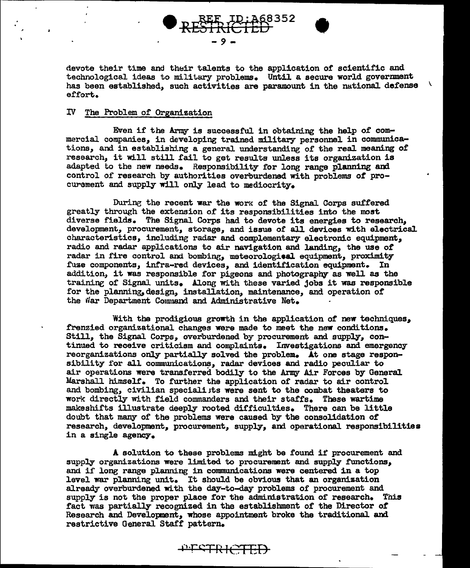

devote their time and their talents to the application of scientific and technological ideas to military problems. Until a secure world government  $\Delta$ has been established, such activities are paramount in the national defense effort.

#### IV The Problem of Organization

Even if the Army is successful in obtaining the help of commercial companies, in developing trained military personnel in communications, and in establishing a general understanding of the real meaning of research, it will still fail to get results unless its organization is adapted to the new needs. Responsibility for long range planning and control of research by authorities overburdened with problems of procurement and supply will only lead to mediocrity.

During the recent war the work of the Signal Corps suffered greatly through the extension of its responsibilities into the most diverse fields. The Signal Corps had to devote its energies to research, development, procurement, storage, and issue of all devices with electrical characteristics, including radar and complementary electronic equipment, radio and radar applications to air navigation and landing, the use of radar in fire control and bombing, meteorological equipment, proximity fuze components, infra-red devices, and identification equipment. In addition, it was responsible for pigeons and photography as well as the training of Signal units. Along with these varied jobs it was responsible for the planning, design, installation, maintenance, and operation of the War Department Command and Administrative Net.

With the prodigious growth in the application of new techniques, frenzied organizational changes were made to meet the new conditions. Still, the Signal Corps, overburdened by procurement and supply, continued to receive criticism and complaints. Investigations and emergency reorganizations only partially solved the problem. At one stage responsibility for all communications, radar devices and radio peculiar to air operations were transferred bodily to the Army Air Forces by General Marshall himself. To further the application of radar to air control and bombing, civilian specialists were sent to the combat theaters to work directly with field commanders and their staffs. These wartime makeshifts illustrate deeply rooted difficulties. There can be little doubt that many of the problems were caused by the consolidation of research, development, procurement, supply, and operational responsibilities in a single agency.

A solution to these problems might be found if procurement and supply organizations were limited to procurement and supply functions, and if long range planning in communications were centered in a top level war planning unit. It should be obvious that an organization already overburdened with the day-to-day problems of procurement and supply is not the proper place for the administration of research. This fact was partially recognized in the establishment of the Director of Research and Development, whose appointment broke the traditional and restrictive General Staff pattern.

PESTRICTED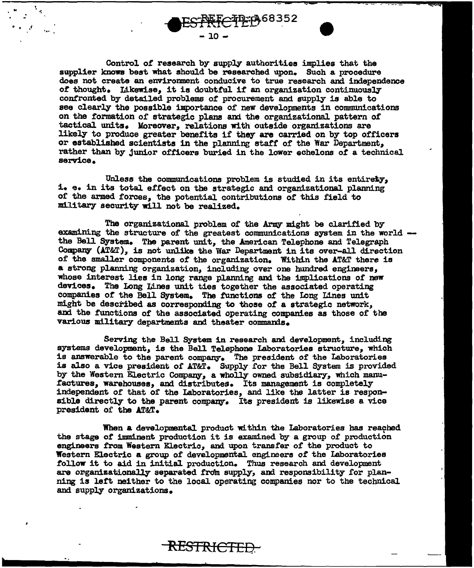

...

Control *ot* research by supply authorities implies that the supplier knows best what should be researched upon. Such a procedure does not create an environment conducive to true research and independence of thought. Likewise, it is doubtful if an organization continuously confronted by detailed problems of procurement and supply is able to see clearly the possible importance of new developments in communications on the formation of strategic plans and the organizational pattern of tactical units. Moreover, relations with outside organizations are likely to produce greater benefits if they are carried on by top officers or established scientists in the planning staff of the War Department, rather than by junior officers buried in the lower echelons *ot* a technical service.

Unless the communications problem is studied in its entirety, i. e. in its total effect on the strategic and organizational planning of the armed forces, the potential contributions of this field to military security will not be realized.

The organizational problem of the Army might be clarified by<br>examining the structure of the greatest communications system in the world. the Bell System. The parent unit, the American Telephone and Telegraph Company (AT&T), is not unlike the War Department in its over-all direction of the smaller components of the organization. Within the AT&T there is a strong planning organization, including over one hundred engineers, whose interest lies in long range planning and the implications of new devices. The Long Lines unit ties together the associated operating companies of the Bell System. The functions of the Long Lines unit might be described as corresponding to those of a strategic network, and the functions of the associated operating companies as those of the various military departments and theater commands.

Serving the Bell System in research and development, including systems development, is the Bell Telephone Laboratories structure, which is answerable to the parent company. The president of the Laboratories is also a vice president of AT&T. Supply for the Bell System is provided by the Western Electric Company, a wholly owned subsidiary, which manufactures, warehouses, and distributes. Its management is completely independent of that of the Laboratories, and like the latter is responsible directly to the parent company. Its president is likewise a vice president or the AT&T.

When a developmental product within the Laboratories has reached the stage of imminent production it is examined by a group of production engineers from Western Electric, and upon transfer of the product to Western Electric a group of developmental engineers of the Laboratories follow it to aid in initial production. Thus research and development are organizationally separated from supply, and responsibility for planning is left neither to the local operating companies nor to the technical and supply organizations.

RESTRICTED.